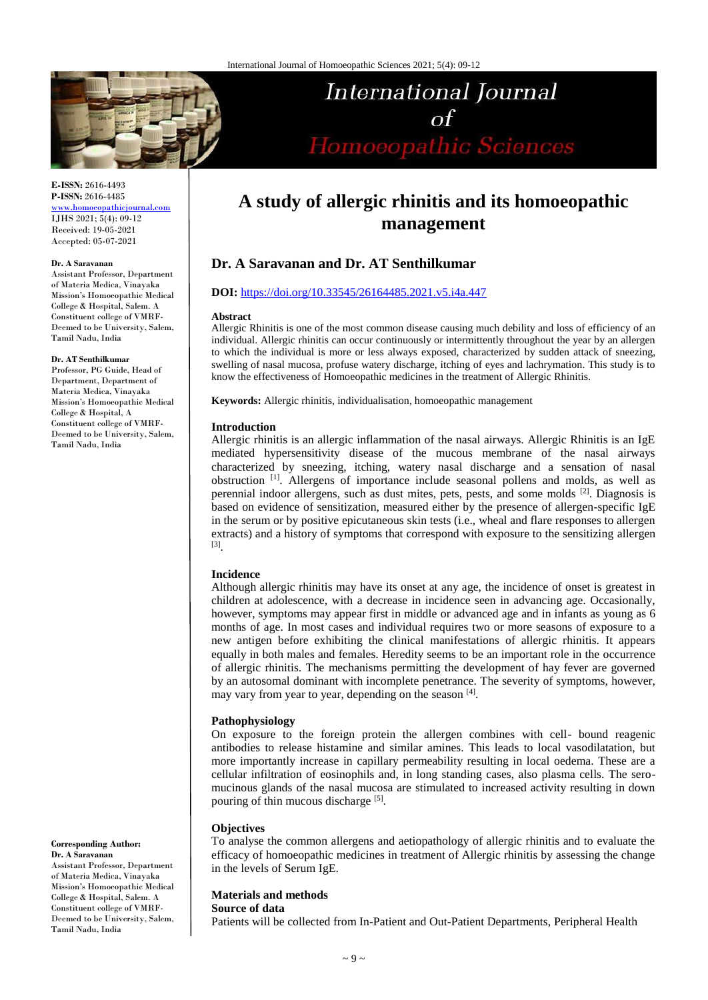

# International Journal  $\Omega$ Homoeopathic Sciences

**E-ISSN:** 2616-4493 **P-ISSN:** 2616-4485

[www.homoeopathicjournal.com](file://Server/test/homoeopathicjournal/issue/vol%204/issue%201/www.homoeopathicjournal.com) IJHS 2021; 5(4): 09-12 Received: 19-05-2021 Accepted: 05-07-2021

#### **Dr. A Saravanan**

Assistant Professor, Department of Materia Medica, Vinayaka Mission's Homoeopathic Medical College & Hospital, Salem. A Constituent college of VMRF-Deemed to be University, Salem, Tamil Nadu, India

#### **Dr. AT Senthilkumar**

Professor, PG Guide, Head of Department, Department of Materia Medica, Vinayaka Mission's Homoeopathic Medical College & Hospital, A Constituent college of VMRF-Deemed to be University, Salem, Tamil Nadu, India

**Corresponding Author: Dr. A Saravanan**

Assistant Professor, Department of Materia Medica, Vinayaka Mission's Homoeopathic Medical College & Hospital, Salem. A Constituent college of VMRF-Deemed to be University, Salem, Tamil Nadu, India

# **A study of allergic rhinitis and its homoeopathic management**

## **Dr. A Saravanan and Dr. AT Senthilkumar**

### **DOI:** <https://doi.org/10.33545/26164485.2021.v5.i4a.447>

#### **Abstract**

Allergic Rhinitis is one of the most common disease causing much debility and loss of efficiency of an individual. Allergic rhinitis can occur continuously or intermittently throughout the year by an allergen to which the individual is more or less always exposed, characterized by sudden attack of sneezing, swelling of nasal mucosa, profuse watery discharge, itching of eyes and lachrymation. This study is to know the effectiveness of Homoeopathic medicines in the treatment of Allergic Rhinitis.

**Keywords:** Allergic rhinitis, individualisation, homoeopathic management

#### **Introduction**

Allergic rhinitis is an allergic inflammation of the nasal airways. Allergic Rhinitis is an IgE mediated hypersensitivity disease of the mucous membrane of the nasal airways characterized by sneezing, itching, watery nasal discharge and a sensation of nasal obstruction [1] . Allergens of importance include seasonal pollens and molds, as well as perennial indoor allergens, such as dust mites, pets, pests, and some molds <sup>[2]</sup>. Diagnosis is based on evidence of sensitization, measured either by the presence of allergen-specific IgE in the serum or by positive epicutaneous skin tests (i.e., wheal and flare responses to allergen extracts) and a history of symptoms that correspond with exposure to the sensitizing allergen [3] .

#### **Incidence**

Although allergic rhinitis may have its onset at any age, the incidence of onset is greatest in children at adolescence, with a decrease in incidence seen in advancing age. Occasionally, however, symptoms may appear first in middle or advanced age and in infants as young as 6 months of age. In most cases and individual requires two or more seasons of exposure to a new antigen before exhibiting the clinical manifestations of allergic rhinitis. It appears equally in both males and females. Heredity seems to be an important role in the occurrence of allergic rhinitis. The mechanisms permitting the development of hay fever are governed by an autosomal dominant with incomplete penetrance. The severity of symptoms, however, may vary from year to year, depending on the season [4].

## **Pathophysiology**

On exposure to the foreign protein the allergen combines with cell- bound reagenic antibodies to release histamine and similar amines. This leads to local vasodilatation, but more importantly increase in capillary permeability resulting in local oedema. These are a cellular infiltration of eosinophils and, in long standing cases, also plasma cells. The seromucinous glands of the nasal mucosa are stimulated to increased activity resulting in down pouring of thin mucous discharge [5].

#### **Objectives**

To analyse the common allergens and aetiopathology of allergic rhinitis and to evaluate the efficacy of homoeopathic medicines in treatment of Allergic rhinitis by assessing the change in the levels of Serum IgE.

## **Materials and methods**

**Source of data**

Patients will be collected from In-Patient and Out-Patient Departments, Peripheral Health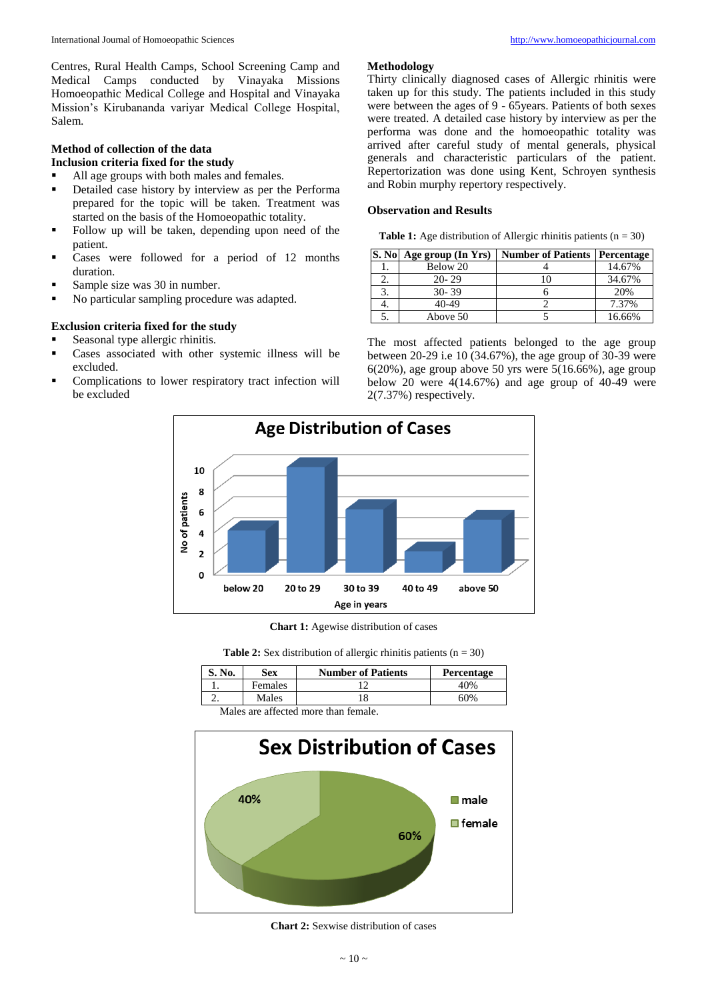Centres, Rural Health Camps, School Screening Camp and Medical Camps conducted by Vinayaka Missions Homoeopathic Medical College and Hospital and Vinayaka Mission's Kirubananda variyar Medical College Hospital, Salem.

## **Method of collection of the data**

- **Inclusion criteria fixed for the study**
- All age groups with both males and females.
- **•** Detailed case history by interview as per the Performa prepared for the topic will be taken. Treatment was started on the basis of the Homoeopathic totality.
- Follow up will be taken, depending upon need of the patient.
- Cases were followed for a period of 12 months duration.
- Sample size was 30 in number.
- No particular sampling procedure was adapted.

## **Exclusion criteria fixed for the study**

- Seasonal type allergic rhinitis.
- Cases associated with other systemic illness will be excluded.
- Complications to lower respiratory tract infection will be excluded

## **Methodology**

Thirty clinically diagnosed cases of Allergic rhinitis were taken up for this study. The patients included in this study were between the ages of 9 - 65years. Patients of both sexes were treated. A detailed case history by interview as per the performa was done and the homoeopathic totality was arrived after careful study of mental generals, physical generals and characteristic particulars of the patient. Repertorization was done using Kent, Schroyen synthesis and Robin murphy repertory respectively.

## **Observation and Results**

**Table 1:** Age distribution of Allergic rhinitis patients  $(n = 30)$ 

| S. No Age group (In Yrs) | <b>Number of Patients</b> | Percentage |
|--------------------------|---------------------------|------------|
| Below 20                 |                           | 14.67%     |
| $20 - 29$                |                           | 34.67%     |
| $30 - 39$                |                           | 20%        |
| 40-49                    |                           | 7.37%      |
| Above 50                 |                           | 16.66%     |

The most affected patients belonged to the age group between 20-29 i.e 10 (34.67%), the age group of 30-39 were 6(20%), age group above 50 yrs were  $5(16.66%)$ , age group below 20 were  $\frac{4(14.67\%)}{4}$  and age group of 40-49 were 2(7.37%) respectively.



**Chart 1:** Agewise distribution of cases

**Table 2:** Sex distribution of allergic rhinitis patients  $(n = 30)$ 

| No. | Sex            | <b>Number of Patients</b> | Percentage |
|-----|----------------|---------------------------|------------|
|     | <b>Females</b> |                           | 40%        |
|     | Males          |                           | 60%        |

Males are affected more than female.



**Chart 2:** Sexwise distribution of cases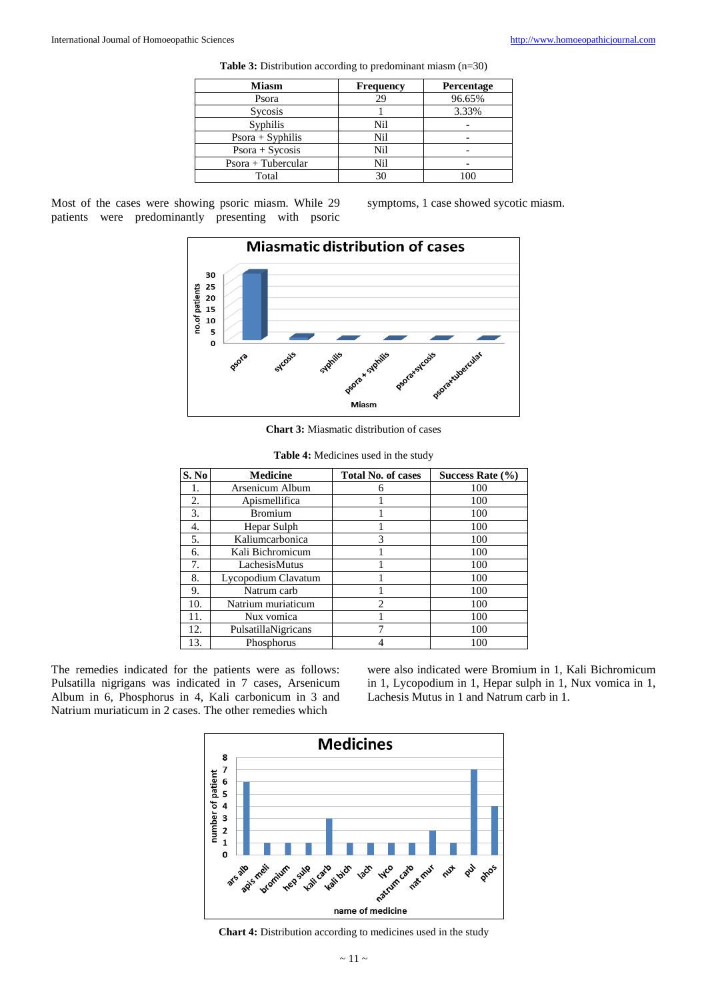| <b>Miasm</b>        | <b>Frequency</b> | Percentage |
|---------------------|------------------|------------|
| Psora               | 29               | 96.65%     |
| Sycosis             |                  | 3.33%      |
| Syphilis            | Nil              |            |
| $Posora + Sophilis$ | Nil              |            |
| $Posora + Sycosis$  | Nil              |            |
| Psora + Tubercular  | Nil              |            |
| Total               | 30               |            |

**Table 3:** Distribution according to predominant miasm (n=30)

Most of the cases were showing psoric miasm. While 29 patients were predominantly presenting with psoric

symptoms, 1 case showed sycotic miasm.



**Chart 3:** Miasmatic distribution of cases

| S. No | <b>Medicine</b>     | <b>Total No. of cases</b>   | Success Rate $(\% )$ |
|-------|---------------------|-----------------------------|----------------------|
| 1.    | Arsenicum Album     |                             | 100                  |
| 2.    | Apismellifica       |                             | 100                  |
| 3.    | <b>Bromium</b>      |                             | 100                  |
| 4.    | Hepar Sulph         |                             | 100                  |
| 5.    | Kaliumcarbonica     | 3                           | 100                  |
| 6.    | Kali Bichromicum    |                             | 100                  |
| 7.    | LachesisMutus       |                             | 100                  |
| 8.    | Lycopodium Clavatum |                             | 100                  |
| 9.    | Natrum carb         |                             | 100                  |
| 10.   | Natrium muriaticum  | $\mathcal{D}_{\mathcal{L}}$ | 100                  |
| 11.   | Nux vomica          |                             | 100                  |
| 12.   | PulsatillaNigricans |                             | 100                  |
| 13.   | Phosphorus          |                             | 100                  |

**Table 4:** Medicines used in the study

The remedies indicated for the patients were as follows: Pulsatilla nigrigans was indicated in 7 cases, Arsenicum Album in 6, Phosphorus in 4, Kali carbonicum in 3 and Natrium muriaticum in 2 cases. The other remedies which

were also indicated were Bromium in 1, Kali Bichromicum in 1, Lycopodium in 1, Hepar sulph in 1, Nux vomica in 1, Lachesis Mutus in 1 and Natrum carb in 1.



**Chart 4:** Distribution according to medicines used in the study